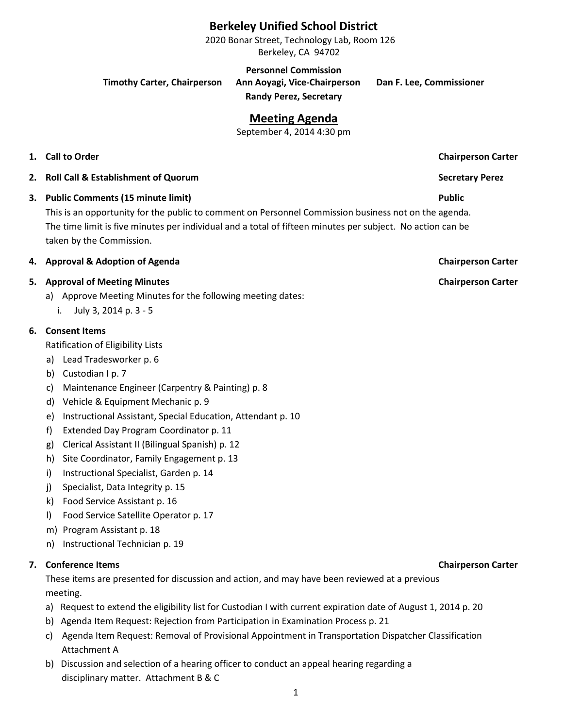# **Berkeley Unified School District**

2020 Bonar Street, Technology Lab, Room 126 Berkeley, CA 94702

**Personnel Commission**

**Timothy Carter, Chairperson Ann Aoyagi, Vice-Chairperson Dan F. Lee, Commissioner**

**Randy Perez, Secretary**

# **Meeting Agenda**

September 4, 2014 4:30 pm

### **1. Call to Order Chairperson Carter**

- **2. Roll Call & Establishment of Quorum Secretary Perez**
- **3. Public Comments (15 minute limit) Public**

This is an opportunity for the public to comment on Personnel Commission business not on the agenda. The time limit is five minutes per individual and a total of fifteen minutes per subject. No action can be taken by the Commission.

### **4. Approval & Adoption of Agenda Chairperson Carter**

### **5. Approval of Meeting Minutes Chairperson Carter**

- a) Approve Meeting Minutes for the following meeting dates:
	- i. July 3, 2014 p. 3 5

### **6. Consent Items**

- Ratification of Eligibility Lists
- a) Lead Tradesworker p. 6
- b) Custodian I p. 7
- c) Maintenance Engineer (Carpentry & Painting) p. 8
- d) Vehicle & Equipment Mechanic p. 9
- e) Instructional Assistant, Special Education, Attendant p. 10
- f) Extended Day Program Coordinator p. 11
- g) Clerical Assistant II (Bilingual Spanish) p. 12
- h) Site Coordinator, Family Engagement p. 13
- i) Instructional Specialist, Garden p. 14
- j) Specialist, Data Integrity p. 15
- k) Food Service Assistant p. 16
- l) Food Service Satellite Operator p. 17
- m) Program Assistant p. 18
- n) Instructional Technician p. 19

### **7. Conference Items Chairperson Carter**

These items are presented for discussion and action, and may have been reviewed at a previous meeting.

- a) Request to extend the eligibility list for Custodian I with current expiration date of August 1, 2014 p. 20
- b) Agenda Item Request: Rejection from Participation in Examination Process p. 21
- c) Agenda Item Request: Removal of Provisional Appointment in Transportation Dispatcher Classification Attachment A
- b) Discussion and selection of a hearing officer to conduct an appeal hearing regarding a disciplinary matter. Attachment B & C